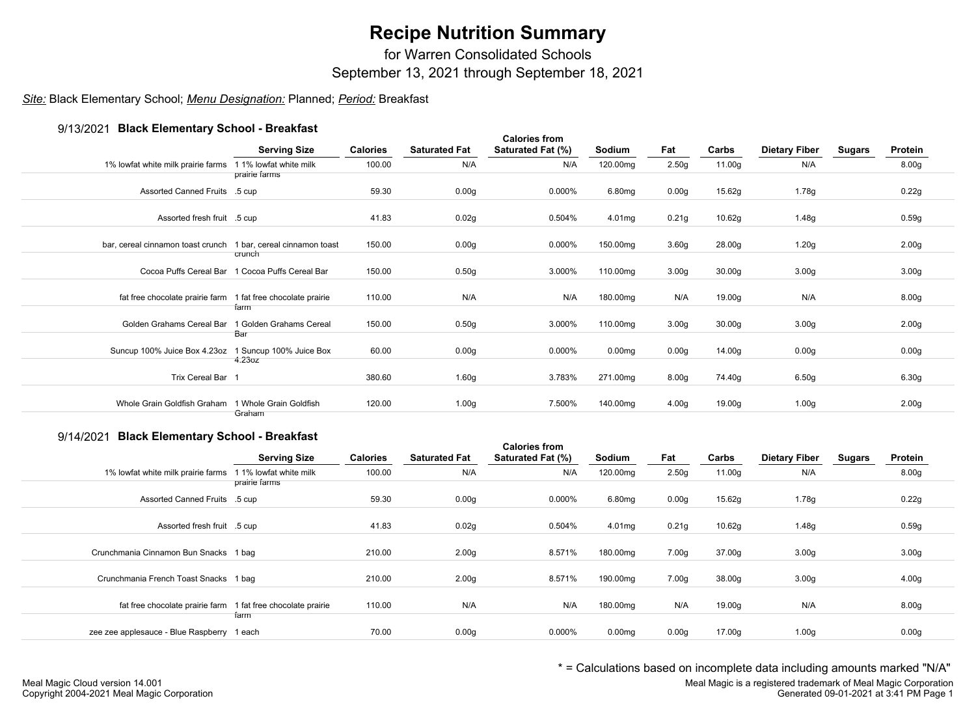# **Recipe Nutrition Summary**

for Warren Consolidated Schools

September 13, 2021 through September 18, 2021

## *Site:* Black Elementary School; *Menu Designation:* Planned; *Period:* Breakfast

## 9/13/2021 **Black Elementary School - Breakfast**

| <b>31 ISIZUZ L. DIGUN EIGHIGHLGI Y OUTIOU - DI GANIQUE</b>     | <b>Serving Size</b>                             | <b>Calories</b> | <b>Saturated Fat</b> | <b>Calories from</b><br>Saturated Fat (%) | Sodium             | Fat               | Carbs              | <b>Dietary Fiber</b> | <b>Sugars</b> | Protein           |
|----------------------------------------------------------------|-------------------------------------------------|-----------------|----------------------|-------------------------------------------|--------------------|-------------------|--------------------|----------------------|---------------|-------------------|
| 1% lowfat white milk prairie farms 1 1% lowfat white milk      | prairie farms                                   | 100.00          | N/A                  | N/A                                       | 120.00mg           | 2.50 <sub>g</sub> | 11.00g             | N/A                  |               | 8.00g             |
| Assorted Canned Fruits .5 cup                                  |                                                 | 59.30           | 0.00 <sub>g</sub>    | 0.000%                                    | 6.80mg             | 0.00 <sub>g</sub> | 15.62g             | 1.78g                |               | 0.22g             |
| Assorted fresh fruit .5 cup                                    |                                                 | 41.83           | 0.02g                | 0.504%                                    | 4.01mg             | 0.21g             | 10.62g             | 1.48g                |               | 0.59g             |
| bar, cereal cinnamon toast crunch 1 bar, cereal cinnamon toast | crunch                                          | 150.00          | 0.00 <sub>g</sub>    | 0.000%                                    | 150.00mg           | 3.60 <sub>g</sub> | 28.00g             | 1.20g                |               | 2.00 <sub>g</sub> |
|                                                                | Cocoa Puffs Cereal Bar 1 Cocoa Puffs Cereal Bar | 150.00          | 0.50 <sub>g</sub>    | 3.000%                                    | 110.00mg           | 3.00 <sub>g</sub> | 30.00 <sub>g</sub> | 3.00 <sub>g</sub>    |               | 3.00 <sub>g</sub> |
| fat free chocolate prairie farm 1 fat free chocolate prairie   | farm                                            | 110.00          | N/A                  | N/A                                       | 180.00mg           | N/A               | 19.00g             | N/A                  |               | 8.00 <sub>g</sub> |
| Golden Grahams Cereal Bar                                      | 1 Golden Grahams Cereal<br>Bar                  | 150.00          | 0.50 <sub>g</sub>    | 3.000%                                    | 110.00mg           | 3.00 <sub>g</sub> | 30.00 <sub>g</sub> | 3.00 <sub>g</sub>    |               | 2.00 <sub>g</sub> |
| Suncup 100% Juice Box 4.23oz 1 Suncup 100% Juice Box           | 4.23oz                                          | 60.00           | 0.00 <sub>g</sub>    | 0.000%                                    | 0.00 <sub>mg</sub> | 0.00 <sub>g</sub> | 14.00g             | 0.00 <sub>g</sub>    |               | 0.00 <sub>g</sub> |
| Trix Cereal Bar 1                                              |                                                 | 380.60          | 1.60g                | 3.783%                                    | 271.00mg           | 8.00 <sub>g</sub> | 74.40g             | 6.50 <sub>g</sub>    |               | 6.30g             |
| Whole Grain Goldfish Graham                                    | 1 Whole Grain Goldfish<br>Graham                | 120.00          | 1.00 <sub>g</sub>    | 7.500%                                    | 140.00mg           | 4.00 <sub>g</sub> | 19.00g             | 1.00 <sub>g</sub>    |               | 2.00 <sub>g</sub> |

### 9/14/2021 **Black Elementary School - Breakfast**

| $3/17/20Z$ Plack Lightentary Octrobi - Digariast             | <b>Serving Size</b>                     | <b>Calories</b> | <b>Saturated Fat</b> | <b>Calories from</b><br>Saturated Fat (%) | Sodium             | Fat               | Carbs  | <b>Dietary Fiber</b> | <b>Sugars</b> | Protein           |
|--------------------------------------------------------------|-----------------------------------------|-----------------|----------------------|-------------------------------------------|--------------------|-------------------|--------|----------------------|---------------|-------------------|
| 1% lowfat white milk prairie farms                           | 1 1% lowfat white milk<br>prairie farms | 100.00          | N/A                  | N/A                                       | 120.00mg           | 2.50 <sub>g</sub> | 11.00g | N/A                  |               | 8.00g             |
| Assorted Canned Fruits .5 cup                                |                                         | 59.30           | 0.00 <sub>g</sub>    | 0.000%                                    | 6.80mg             | 0.00 <sub>g</sub> | 15.62g | 1.78g                |               | 0.22g             |
| Assorted fresh fruit .5 cup                                  |                                         | 41.83           | 0.02g                | 0.504%                                    | 4.01mg             | 0.21 <sub>g</sub> | 10.62g | 1.48g                |               | 0.59g             |
| Crunchmania Cinnamon Bun Snacks 1 bag                        |                                         | 210.00          | 2.00 <sub>g</sub>    | 8.571%                                    | 180.00mg           | 7.00g             | 37.00g | 3.00 <sub>g</sub>    |               | 3.00 <sub>g</sub> |
| Crunchmania French Toast Snacks 1 bag                        |                                         | 210.00          | 2.00 <sub>g</sub>    | 8.571%                                    | 190.00mg           | 7.00g             | 38.00g | 3.00 <sub>g</sub>    |               | 4.00 <sub>g</sub> |
| fat free chocolate prairie farm 1 fat free chocolate prairie | farm                                    | 110.00          | N/A                  | N/A                                       | 180.00mg           | N/A               | 19.00g | N/A                  |               | 8.00 <sub>g</sub> |
| zee zee applesauce - Blue Raspberry                          | 1 each                                  | 70.00           | 0.00 <sub>g</sub>    | 0.000%                                    | 0.00 <sub>mg</sub> | 0.00 <sub>g</sub> | 17.00g | 1.00 <sub>g</sub>    |               | 0.00g             |

\* = Calculations based on incomplete data including amounts marked "N/A"

Meal Magic is a registered trademark of Meal Magic Corporation Generated 09-01-2021 at 3:41 PM Page 1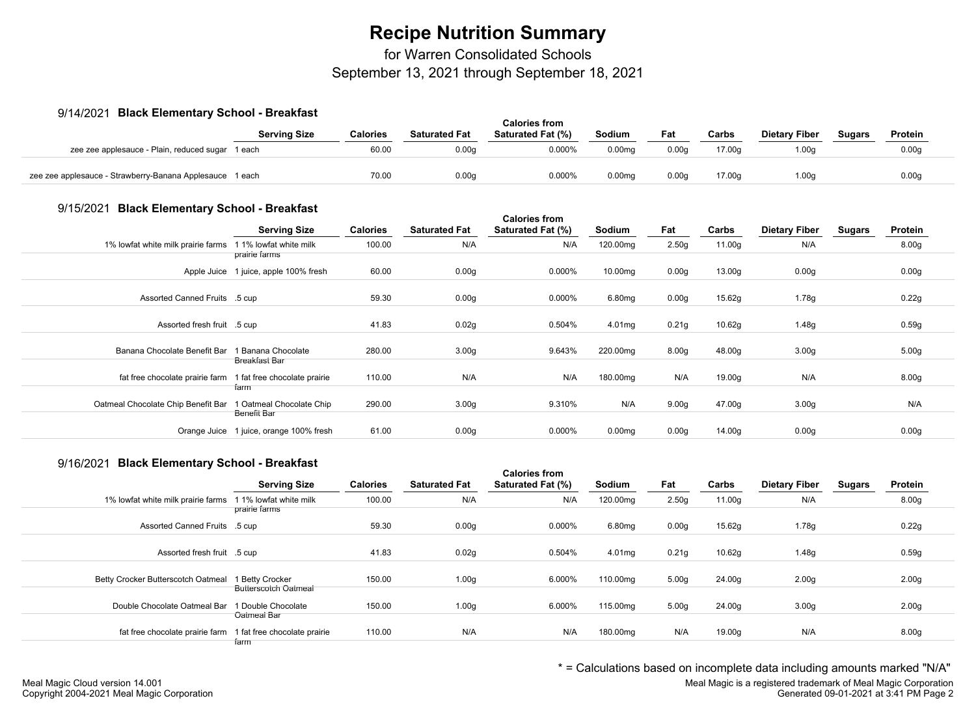# **Recipe Nutrition Summary**

for Warren Consolidated Schools

September 13, 2021 through September 18, 2021

### 9/14/2021 **Black Elementary School - Breakfast**

| $3/17/202$ Diack Lightentaly Oction - Digariast          |                     |                 | <b>Calories from</b> |                          |                    |       |        |                      |        |                   |  |
|----------------------------------------------------------|---------------------|-----------------|----------------------|--------------------------|--------------------|-------|--------|----------------------|--------|-------------------|--|
|                                                          | <b>Serving Size</b> | <b>Calories</b> | <b>Saturated Fat</b> | <b>Saturated Fat (%)</b> | Sodium             | Fat   | Carbs  | <b>Dietary Fiber</b> | Sugars | Protein           |  |
| zee zee applesauce - Plain, reduced sugar 1 each         |                     | 60.00           | 0.00q                | 0.000%                   | 0.00 <sub>ma</sub> | 0.00a | 17.00a | 0.00q                |        | 0.00q             |  |
| zee zee applesauce - Strawberry-Banana Applesauce 1 each |                     | 70.00           | 0.00 <sub>g</sub>    | 0.000%                   | 0.00 <sub>mq</sub> | 0.00q | 17.00g | 1.00q                |        | 0.00 <sub>g</sub> |  |

#### 9/15/2021 **Black Elementary School - Breakfast**

| <b>SENSION LIGHTSHEET Y OCHOOI - DI CURTUOI</b> | <b>Serving Size</b>                                    | <b>Calories</b> | <b>Saturated Fat</b> | <b>Calories from</b><br>Saturated Fat (%) | Sodium             | Fat               | Carbs  | <b>Dietary Fiber</b> | Sugars | Protein           |
|-------------------------------------------------|--------------------------------------------------------|-----------------|----------------------|-------------------------------------------|--------------------|-------------------|--------|----------------------|--------|-------------------|
| 1% lowfat white milk prairie farms              | 1 1% lowfat white milk<br>prairie farms                | 100.00          | N/A                  | N/A                                       | 120.00mg           | 2.50 <sub>g</sub> | 11.00g | N/A                  |        | 8.00g             |
|                                                 | Apple Juice 1 juice, apple 100% fresh                  | 60.00           | 0.00 <sub>g</sub>    | 0.000%                                    | 10.00mg            | 0.00 <sub>g</sub> | 13.00g | 0.00 <sub>g</sub>    |        | 0.00g             |
| Assorted Canned Fruits .5 cup                   |                                                        | 59.30           | 0.00 <sub>g</sub>    | 0.000%                                    | 6.80mg             | 0.00 <sub>g</sub> | 15.62g | 1.78g                |        | 0.22g             |
| Assorted fresh fruit .5 cup                     |                                                        | 41.83           | 0.02g                | 0.504%                                    | 4.01mg             | 0.21g             | 10.62g | 1.48g                |        | 0.59g             |
| Banana Chocolate Benefit Bar                    | 1 Banana Chocolate<br>Breakfast Bar                    | 280.00          | 3.00 <sub>g</sub>    | 9.643%                                    | 220.00mg           | 8.00 <sub>g</sub> | 48.00g | 3.00 <sub>g</sub>    |        | 5.00 <sub>g</sub> |
| fat free chocolate prairie farm                 | 1 fat free chocolate prairie<br>farm                   | 110.00          | N/A                  | N/A                                       | 180.00mg           | N/A               | 19.00g | N/A                  |        | 8.00 <sub>g</sub> |
| Oatmeal Chocolate Chip Benefit Bar              | 1 Oatmeal Chocolate Chip                               | 290.00          | 3.00 <sub>g</sub>    | 9.310%                                    | N/A                | 9.00 <sub>g</sub> | 47.00g | 3.00 <sub>g</sub>    |        | N/A               |
|                                                 | Benefit Bar<br>Orange Juice 1 juice, orange 100% fresh | 61.00           | 0.00 <sub>g</sub>    | 0.000%                                    | 0.00 <sub>mg</sub> | 0.00 <sub>g</sub> | 14.00g | 0.00 <sub>g</sub>    |        | 0.00 <sub>g</sub> |

## 9/16/2021 **Black Elementary School - Breakfast**

| <b><i>UITOLET DIGUN</i></b> EIGHIGHEALY OUTOUT DI CANTAGE    |                                                | <b>Calories</b> | <b>Saturated Fat</b> | <b>Calories from</b><br><b>Saturated Fat (%)</b> | Sodium   | Fat               | Carbs  | <b>Dietary Fiber</b> |               | Protein           |
|--------------------------------------------------------------|------------------------------------------------|-----------------|----------------------|--------------------------------------------------|----------|-------------------|--------|----------------------|---------------|-------------------|
|                                                              | <b>Serving Size</b>                            |                 |                      |                                                  |          |                   |        |                      | <b>Sugars</b> |                   |
| 1% lowfat white milk prairie farms                           | 1 1% lowfat white milk<br>prairie farms        | 100.00          | N/A                  | N/A                                              | 120.00mg | 2.50 <sub>g</sub> | 11.00g | N/A                  |               | 8.00 <sub>g</sub> |
| Assorted Canned Fruits .5 cup                                |                                                | 59.30           | 0.00 <sub>g</sub>    | 0.000%                                           | 6.80mg   | 0.00 <sub>g</sub> | 15.62g | 1.78g                |               | 0.22g             |
| Assorted fresh fruit .5 cup                                  |                                                | 41.83           | 0.02g                | 0.504%                                           | 4.01mg   | 0.21g             | 10.62g | 1.48g                |               | 0.59g             |
| Betty Crocker Butterscotch Oatmeal                           | 1 Betty Crocker<br><b>Butterscotch Oatmeal</b> | 150.00          | 1.00 <sub>g</sub>    | 6.000%                                           | 110.00mg | 5.00 <sub>g</sub> | 24.00g | 2.00 <sub>g</sub>    |               | 2.00 <sub>g</sub> |
| Double Chocolate Oatmeal Bar                                 | 1 Double Chocolate<br>Oatmeal Bar              | 150.00          | 1.00 <sub>g</sub>    | 6.000%                                           | 115.00mg | 5.00 <sub>g</sub> | 24.00g | 3.00 <sub>g</sub>    |               | 2.00 <sub>g</sub> |
| fat free chocolate prairie farm 1 fat free chocolate prairie | farm                                           | 110.00          | N/A                  | N/A                                              | 180.00mg | N/A               | 19.00g | N/A                  |               | 8.00 <sub>g</sub> |

\* = Calculations based on incomplete data including amounts marked "N/A"

Meal Magic is a registered trademark of Meal Magic Corporation Generated 09-01-2021 at 3:41 PM Page 2